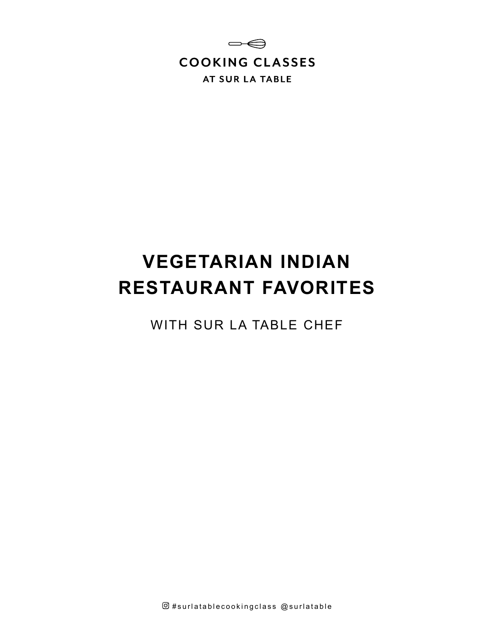

# **VEGETARIAN INDIAN RESTAURANT FAVORITES**

WITH SUR LA TABLE CHEF

 $@$ #surlatablecookingclass  $@$ surlatable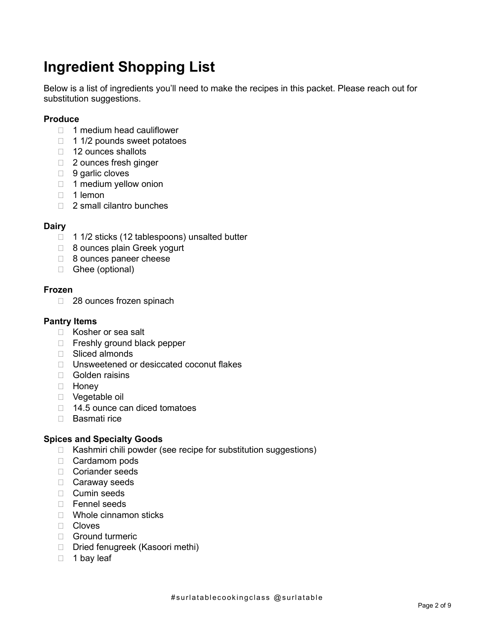## **Ingredient Shopping List**

Below is a list of ingredients you'll need to make the recipes in this packet. Please reach out for substitution suggestions.

### **Produce**

- 1 medium head cauliflower
- $\Box$  1 1/2 pounds sweet potatoes
- $\Box$  12 ounces shallots
- □ 2 ounces fresh ginger
- □ 9 garlic cloves
- 1 medium yellow onion
- $\Box$  1 lemon
- □ 2 small cilantro bunches

### **Dairy**

- $\Box$  1 1/2 sticks (12 tablespoons) unsalted butter
- □ 8 ounces plain Greek yogurt
- □ 8 ounces paneer cheese
- □ Ghee (optional)

#### **Frozen**

□ 28 ounces frozen spinach

#### **Pantry Items**

- □ Kosher or sea salt
- □ Freshly ground black pepper
- □ Sliced almonds
- □ Unsweetened or desiccated coconut flakes
- Golden raisins
- Honey
- D Vegetable oil
- $\Box$  14.5 ounce can diced tomatoes
- □ Basmati rice

#### **Spices and Specialty Goods**

- $\Box$  Kashmiri chili powder (see recipe for substitution suggestions)
- □ Cardamom pods
- □ Coriander seeds
- □ Caraway seeds
- □ Cumin seeds
- □ Fennel seeds
- □ Whole cinnamon sticks
- □ Cloves
- □ Ground turmeric
- □ Dried fenugreek (Kasoori methi)
- $\Box$  1 bay leaf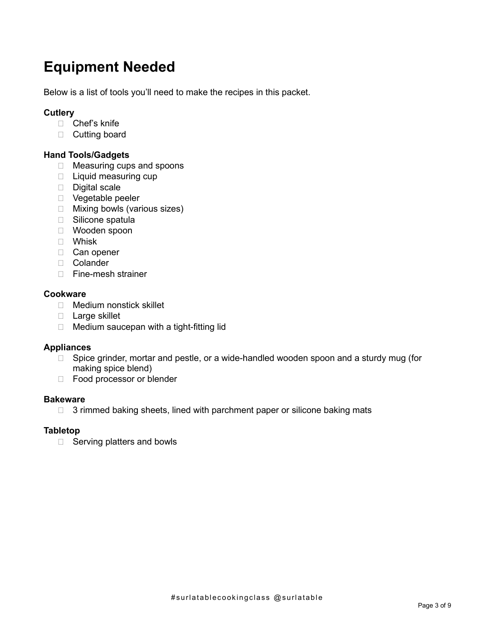## **Equipment Needed**

Below is a list of tools you'll need to make the recipes in this packet.

### **Cutlery**

- □ Chef's knife
- □ Cutting board

### **Hand Tools/Gadgets**

- □ Measuring cups and spoons
- □ Liquid measuring cup
- Digital scale
- □ Vegetable peeler
- □ Mixing bowls (various sizes)
- □ Silicone spatula
- □ Wooden spoon
- Whisk
- □ Can opener
- Colander
- $\Box$  Fine-mesh strainer

#### **Cookware**

- □ Medium nonstick skillet
- Large skillet
- □ Medium saucepan with a tight-fitting lid

### **Appliances**

- □ Spice grinder, mortar and pestle, or a wide-handled wooden spoon and a sturdy mug (for making spice blend)
- □ Food processor or blender

### **Bakeware**

 $\Box$  3 rimmed baking sheets, lined with parchment paper or silicone baking mats

### **Tabletop**

□ Serving platters and bowls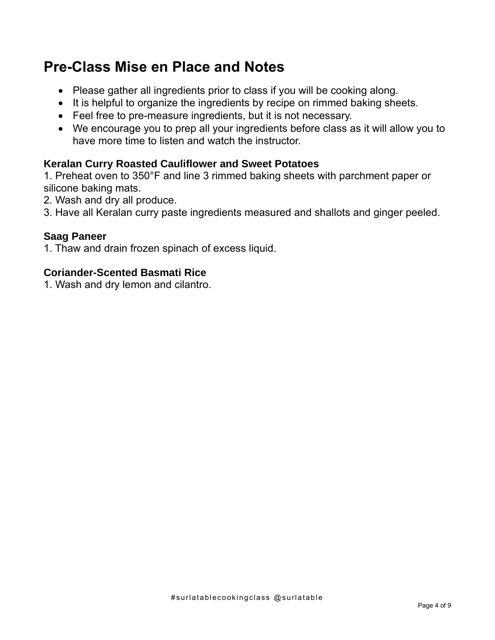## **Pre-Class Mise en Place and Notes**

- Please gather all ingredients prior to class if you will be cooking along.
- It is helpful to organize the ingredients by recipe on rimmed baking sheets.
- Feel free to pre-measure ingredients, but it is not necessary.
- We encourage you to prep all your ingredients before class as it will allow you to have more time to listen and watch the instructor.

### **Keralan Curry Roasted Cauliflower and Sweet Potatoes**

1. Preheat oven to 350°F and line 3 rimmed baking sheets with parchment paper or silicone baking mats.

- 2. Wash and dry all produce.
- 3. Have all Keralan curry paste ingredients measured and shallots and ginger peeled.

### **Saag Paneer**

1. Thaw and drain frozen spinach of excess liquid.

### **Coriander-Scented Basmati Rice**

1. Wash and dry lemon and cilantro.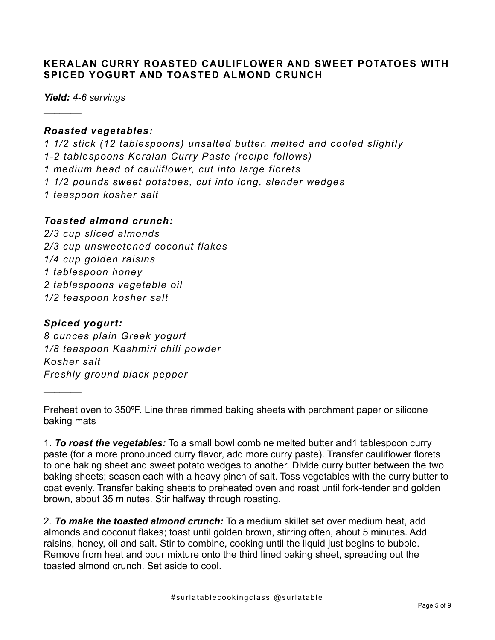### **KERALAN CURRY ROASTED CAULIFLOWER AND SWEET POTATOES WITH SPICED YOGURT AND TOASTED ALMOND CRUNCH**

*Yield: 4-6 servings*

 $\frac{1}{2}$ 

### *Roasted vegetables:*

*1 1/2 stick (12 tablespoons) unsalted butter, melted and cooled slightly 1-2 tablespoons Keralan Curry Paste (recipe follows) 1 medium head of cauliflower, cut into large florets 1 1/2 pounds sweet potatoes, cut into long, slender wedges 1 teaspoon kosher salt*

### *Toasted almond crunch:*

*2/3 cup sliced almonds 2/3 cup unsweetened coconut flakes 1/4 cup golden raisins 1 tablespoon honey 2 tablespoons vegetable oil 1/2 teaspoon kosher salt*

### *Spiced yogurt:*

 $\frac{1}{2}$ 

*8 ounces plain Greek yogurt 1/8 teaspoon Kashmiri chili powder Kosher salt Freshly ground black pepper*

Preheat oven to 350ºF. Line three rimmed baking sheets with parchment paper or silicone baking mats

1. *To roast the vegetables:* To a small bowl combine melted butter and1 tablespoon curry paste (for a more pronounced curry flavor, add more curry paste). Transfer cauliflower florets to one baking sheet and sweet potato wedges to another. Divide curry butter between the two baking sheets; season each with a heavy pinch of salt. Toss vegetables with the curry butter to coat evenly. Transfer baking sheets to preheated oven and roast until fork-tender and golden brown, about 35 minutes. Stir halfway through roasting.

2. *To make the toasted almond crunch:* To a medium skillet set over medium heat, add almonds and coconut flakes; toast until golden brown, stirring often, about 5 minutes. Add raisins, honey, oil and salt. Stir to combine, cooking until the liquid just begins to bubble. Remove from heat and pour mixture onto the third lined baking sheet, spreading out the toasted almond crunch. Set aside to cool.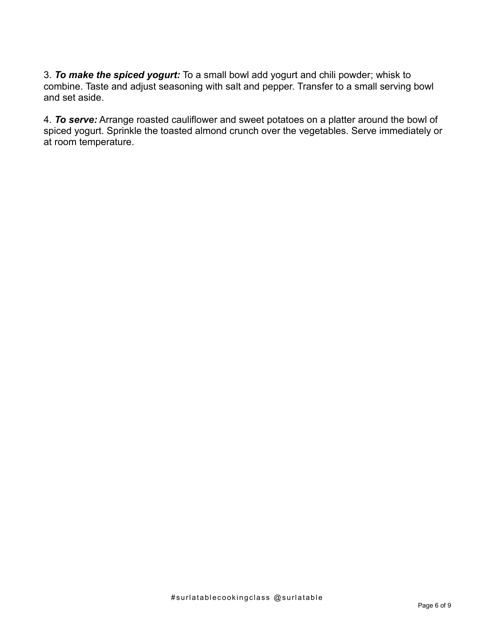3. *To make the spiced yogurt:* To a small bowl add yogurt and chili powder; whisk to combine. Taste and adjust seasoning with salt and pepper. Transfer to a small serving bowl and set aside.

4. *To serve:* Arrange roasted cauliflower and sweet potatoes on a platter around the bowl of spiced yogurt. Sprinkle the toasted almond crunch over the vegetables. Serve immediately or at room temperature.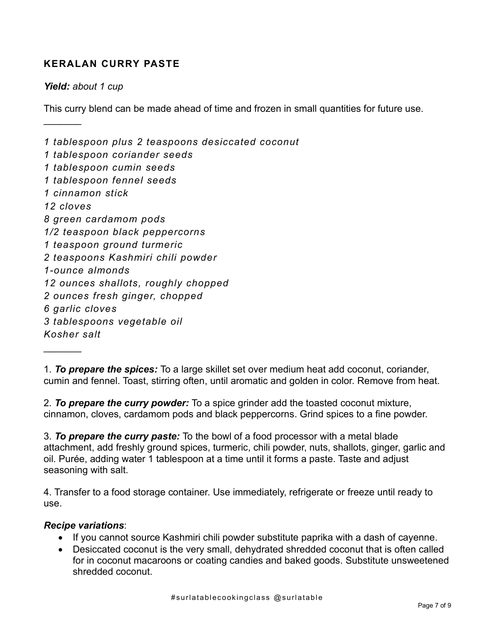### **KERALAN CURRY PASTE**

*Yield: about 1 cup*

 $\frac{1}{2}$ 

 $\frac{1}{2}$ 

This curry blend can be made ahead of time and frozen in small quantities for future use.

*1 tablespoon plus 2 teaspoons desiccated coconut 1 tablespoon coriander seeds 1 tablespoon cumin seeds 1 tablespoon fennel seeds 1 cinnamon stick 12 cloves 8 green cardamom pods 1/2 teaspoon black peppercorns 1 teaspoon ground turmeric 2 teaspoons Kashmiri chili powder 1-ounce almonds 12 ounces shallots, roughly chopped 2 ounces fresh ginger, chopped 6 garlic cloves 3 tablespoons vegetable oil Kosher salt*

1. *To prepare the spices:* To a large skillet set over medium heat add coconut, coriander, cumin and fennel. Toast, stirring often, until aromatic and golden in color. Remove from heat.

2. *To prepare the curry powder:* To a spice grinder add the toasted coconut mixture, cinnamon, cloves, cardamom pods and black peppercorns. Grind spices to a fine powder.

3. *To prepare the curry paste:* To the bowl of a food processor with a metal blade attachment, add freshly ground spices, turmeric, chili powder, nuts, shallots, ginger, garlic and oil. Purée, adding water 1 tablespoon at a time until it forms a paste. Taste and adjust seasoning with salt.

4. Transfer to a food storage container. Use immediately, refrigerate or freeze until ready to use.

### *Recipe variations*:

- If you cannot source Kashmiri chili powder substitute paprika with a dash of cayenne.
- Desiccated coconut is the very small, dehydrated shredded coconut that is often called for in coconut macaroons or coating candies and baked goods. Substitute unsweetened shredded coconut.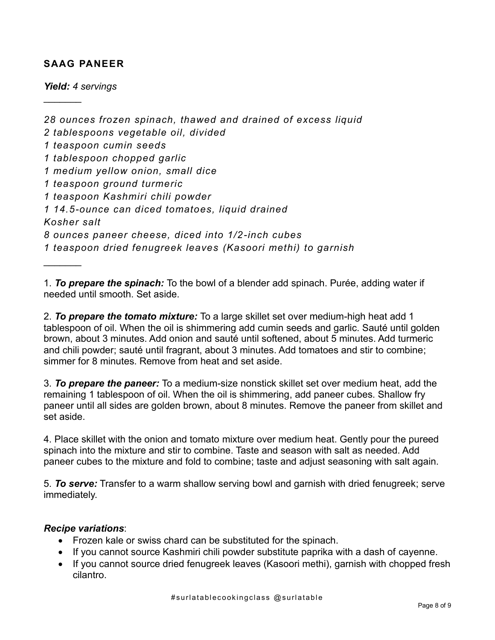### **SAAG PANEER**

*Yield: 4 servings*

 $\frac{1}{2}$ 

 $\frac{1}{2}$ 

*28 ounces frozen spinach, thawed and drained of excess liquid 2 tablespoons vegetable oil, divided 1 teaspoon cumin seeds 1 tablespoon chopped garlic 1 medium yellow onion, small dice 1 teaspoon ground turmeric 1 teaspoon Kashmiri chili powder 1 14.5-ounce can diced tomatoes, liquid drained Kosher salt 8 ounces paneer cheese, diced into 1/2-inch cubes 1 teaspoon dried fenugreek leaves (Kasoori methi) to garnish*

1. *To prepare the spinach:* To the bowl of a blender add spinach. Purée, adding water if needed until smooth. Set aside.

2. *To prepare the tomato mixture:* To a large skillet set over medium-high heat add 1 tablespoon of oil. When the oil is shimmering add cumin seeds and garlic. Sauté until golden brown, about 3 minutes. Add onion and sauté until softened, about 5 minutes. Add turmeric and chili powder; sauté until fragrant, about 3 minutes. Add tomatoes and stir to combine; simmer for 8 minutes. Remove from heat and set aside

3. *To prepare the paneer:* To a medium-size nonstick skillet set over medium heat, add the remaining 1 tablespoon of oil. When the oil is shimmering, add paneer cubes. Shallow fry paneer until all sides are golden brown, about 8 minutes. Remove the paneer from skillet and set aside.

4. Place skillet with the onion and tomato mixture over medium heat. Gently pour the pureed spinach into the mixture and stir to combine. Taste and season with salt as needed. Add paneer cubes to the mixture and fold to combine; taste and adjust seasoning with salt again.

5. *To serve:* Transfer to a warm shallow serving bowl and garnish with dried fenugreek; serve immediately.

### *Recipe variations*:

- Frozen kale or swiss chard can be substituted for the spinach.
- If you cannot source Kashmiri chili powder substitute paprika with a dash of cayenne.
- If you cannot source dried fenugreek leaves (Kasoori methi), garnish with chopped fresh cilantro.